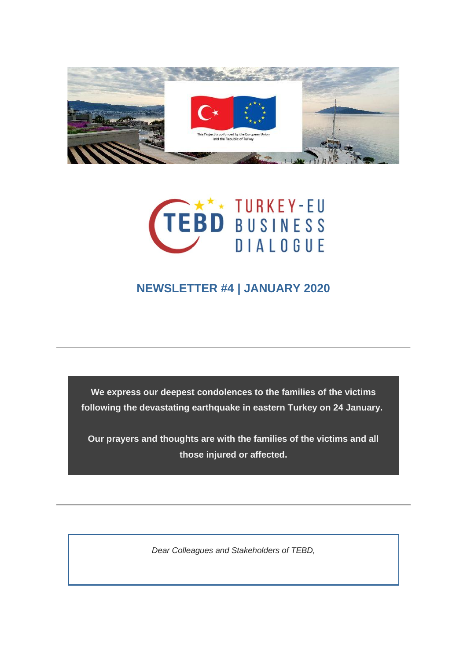



## **NEWSLETTER #4 | JANUARY 2020**

**We express our deepest condolences to the families of the victims following the devastating earthquake in eastern Turkey on 24 January.**

**Our prayers and thoughts are with the families of the victims and all those injured or affected.**

*Dear Colleagues and Stakeholders of TEBD,*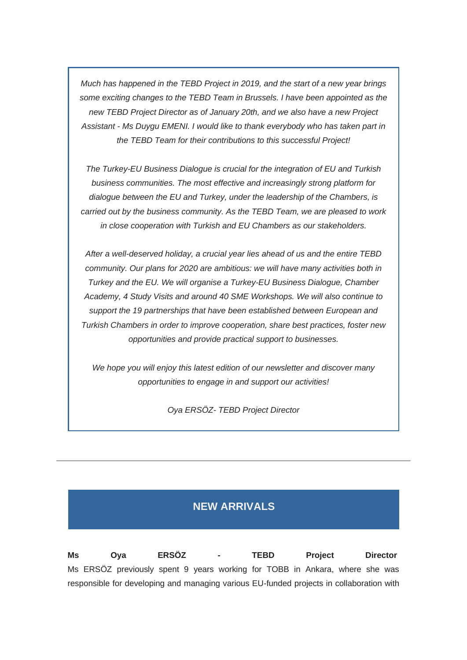*Much has happened in the TEBD Project in 2019, and the start of a new year brings some exciting changes to the TEBD Team in Brussels. I have been appointed as the new TEBD Project Director as of January 20th, and we also have a new Project Assistant - Ms Duygu EMENI. I would like to thank everybody who has taken part in the TEBD Team for their contributions to this successful Project!*

*The Turkey-EU Business Dialogue is crucial for the integration of EU and Turkish business communities. The most effective and increasingly strong platform for dialogue between the EU and Turkey, under the leadership of the Chambers, is carried out by the business community. As the TEBD Team, we are pleased to work in close cooperation with Turkish and EU Chambers as our stakeholders.*

*After a well-deserved holiday, a crucial year lies ahead of us and the entire TEBD community. Our plans for 2020 are ambitious: we will have many activities both in Turkey and the EU. We will organise a Turkey-EU Business Dialogue, Chamber Academy, 4 Study Visits and around 40 SME Workshops. We will also continue to support the 19 partnerships that have been established between European and Turkish Chambers in order to improve cooperation, share best practices, foster new opportunities and provide practical support to businesses.*

*We hope you will enjoy this latest edition of our newsletter and discover many opportunities to engage in and support our activities!*

*Oya ERSÖZ- TEBD Project Director* 

### **NEW ARRIVALS**

**Ms Oya ERSÖZ - TEBD Project Director** Ms ERSÖZ previously spent 9 years working for TOBB in Ankara, where she was responsible for developing and managing various EU-funded projects in collaboration with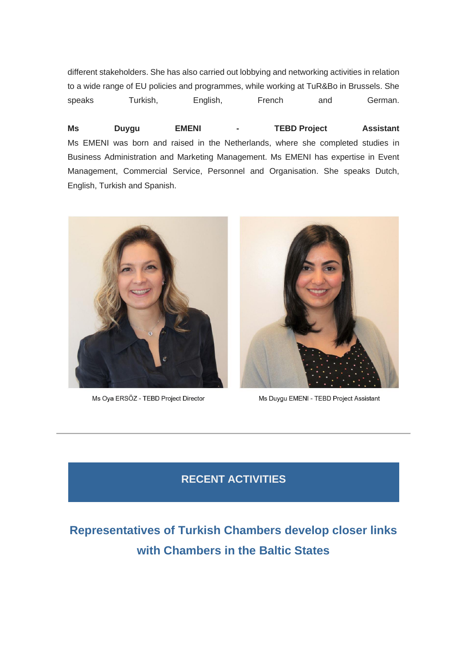different stakeholders. She has also carried out lobbying and networking activities in relation to a wide range of EU policies and programmes, while working at TuR&Bo in Brussels. She speaks Turkish, English, French and German.

**Ms Duygu EMENI - TEBD Project Assistant** Ms EMENI was born and raised in the Netherlands, where she completed studies in Business Administration and Marketing Management. Ms EMENI has expertise in Event Management, Commercial Service, Personnel and Organisation. She speaks Dutch, English, Turkish and Spanish.



Ms Oya ERSÖZ - TEBD Project Director



Ms Duygu EMENI - TEBD Project Assistant

### **RECENT ACTIVITIES**

# **Representatives of Turkish Chambers develop closer links with Chambers in the Baltic States**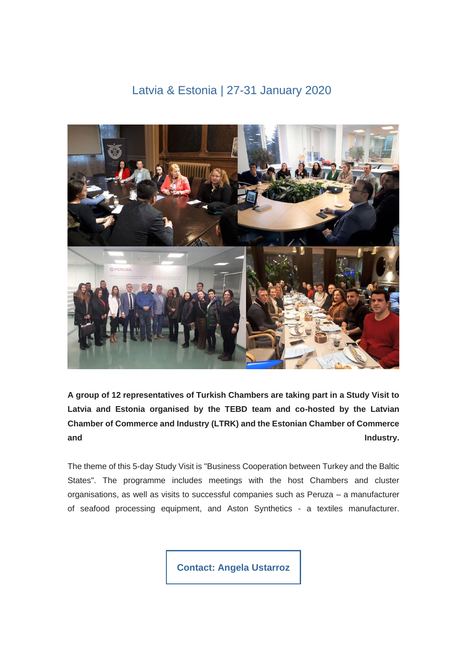### Latvia & Estonia | 27-31 January 2020



**A group of 12 representatives of Turkish Chambers are taking part in a Study Visit to Latvia and Estonia organised by the TEBD team and co-hosted by the Latvian Chamber of Commerce and Industry (LTRK) and the Estonian Chamber of Commerce and** Industry.

The theme of this 5-day Study Visit is "Business Cooperation between Turkey and the Baltic States". The programme includes meetings with the host Chambers and cluster organisations, as well as visits to successful companies such as Peruza – a manufacturer of seafood processing equipment, and Aston Synthetics - a textiles manufacturer.

**[Contact: Angela Ustarroz](mailto:ustarroz@eurochambres.eu?subject=TEBD%20Study%20Visit)**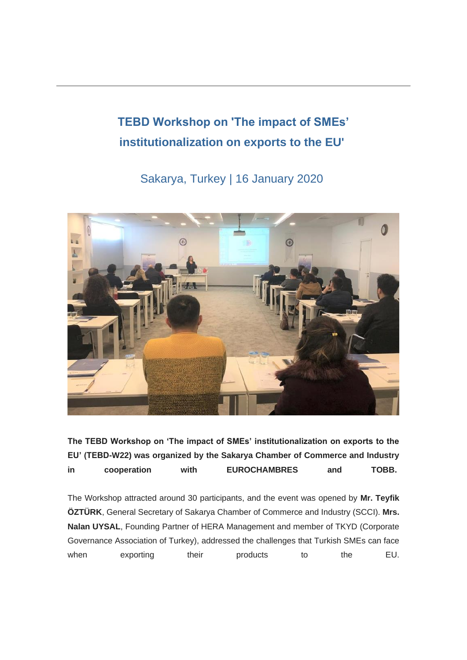# **TEBD Workshop on 'The impact of SMEs' institutionalization on exports to the EU'**

## Sakarya, Turkey | 16 January 2020



**The TEBD Workshop on 'The impact of SMEs' institutionalization on exports to the EU' (TEBD-W22) was organized by the Sakarya Chamber of Commerce and Industry in cooperation with EUROCHAMBRES and TOBB.**

The Workshop attracted around 30 participants, and the event was opened by **Mr. Teyfik ÖZTÜRK**, General Secretary of Sakarya Chamber of Commerce and Industry (SCCI). **Mrs. Nalan UYSAL**, Founding Partner of HERA Management and member of TKYD (Corporate Governance Association of Turkey), addressed the challenges that Turkish SMEs can face when exporting their products to the EU.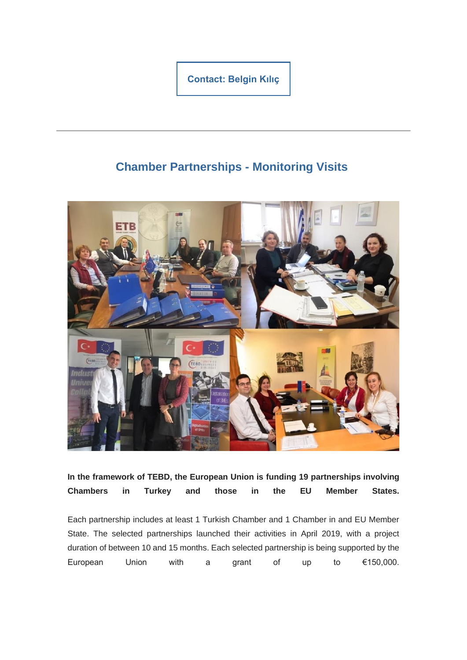**[Contact: Belgin Kılıç](mailto:kilic@eurochambre.eu?subject=SME%20Workshops)**

## **Chamber Partnerships - Monitoring Visits**



**In the framework of TEBD, the European Union is funding 19 partnerships involving Chambers in Turkey and those in the EU Member States.**

Each partnership includes at least 1 Turkish Chamber and 1 Chamber in and EU Member State. The selected partnerships launched their activities in April 2019, with a project duration of between 10 and 15 months. Each selected partnership is being supported by the European Union with a grant of up to €150,000.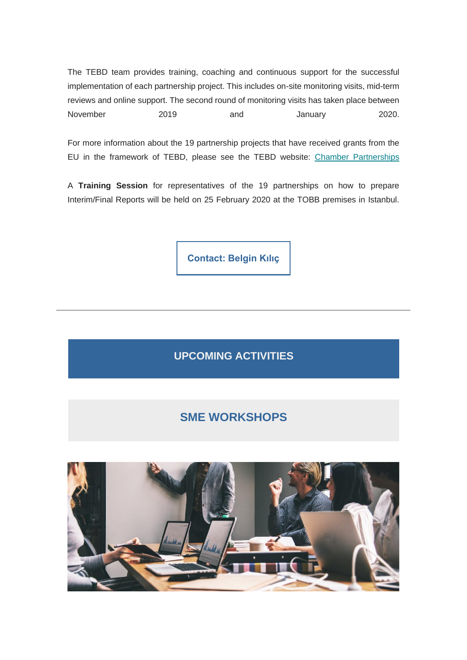The TEBD team provides training, coaching and continuous support for the successful implementation of each partnership project. This includes on-site monitoring visits, mid-term reviews and online support. The second round of monitoring visits has taken place between November 2019 and January 2020.

For more information about the 19 partnership projects that have received grants from the EU in the framework of TEBD, please see the TEBD website: [Chamber Partnerships](https://tebd.us20.list-manage.com/track/click?u=fc97fe7a1cb80e237945d582e&id=fbf31c1272&e=4f94ac0df0)

A **Training Session** for representatives of the 19 partnerships on how to prepare Interim/Final Reports will be held on 25 February 2020 at the TOBB premises in Istanbul.

**[Contact: Belgin Kılıç](mailto:kilic@eurochambre.eu?subject=SME%20Workshops)**

**UPCOMING ACTIVITIES**

## **SME WORKSHOPS**

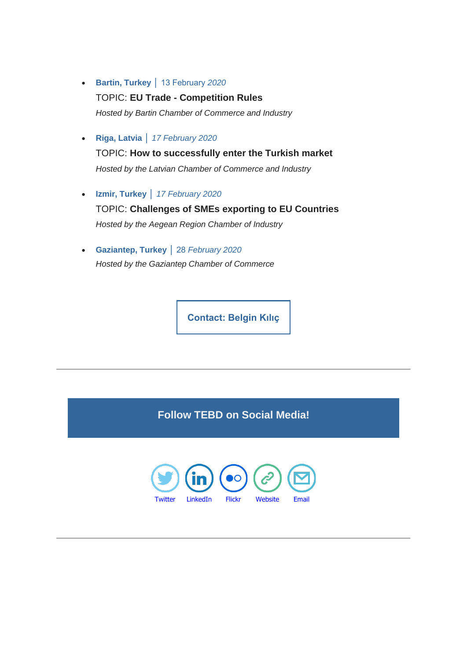- **Bartin, Turkey** │ 13 February *2020* TOPIC: **EU Trade - Competition Rules** *Hosted by Bartin Chamber of Commerce and Industry*
- **Riga, Latvia** │ *17 February 2020*

TOPIC: **How to successfully enter the Turkish market** *Hosted by the Latvian Chamber of Commerce and Industry*

• **Izmir, Turkey** │ *17 February 2020*

TOPIC: **Challenges of SMEs exporting to EU Countries** *Hosted by the Aegean Region Chamber of Industry*

• **Gaziantep, Turkey** │ 28 *February 2020 Hosted by the Gaziantep Chamber of Commerce*

**[Contact: Belgin Kılıç](mailto:kilic@eurochambre.eu?subject=SME%20Workshops)**

**Follow TEBD on Social Media!**